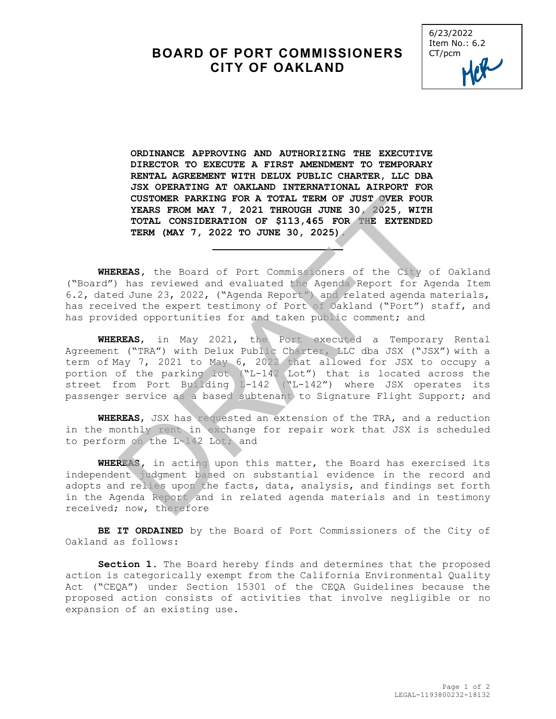## **BOARD OF PORT COMMISSIONERS CITY OF OAKLAND**



**ORDINANCE APPROVING AND AUTHORIZING THE EXECUTIVE DIRECTOR TO EXECUTE A FIRST AMENDMENT TO TEMPORARY RENTAL AGREEMENT WITH DELUX PUBLIC CHARTER, LLC DBA JSX OPERATING AT OAKLAND INTERNATIONAL AIRPORT FOR CUSTOMER PARKING FOR A TOTAL TERM OF JUST OVER FOUR YEARS FROM MAY 7, 2021 THROUGH JUNE 30, 2025, WITH TOTAL CONSIDERATION OF \$113,465 FOR THE EXTENDED TERM (MAY 7, 2022 TO JUNE 30, 2025).** 

**WHEREAS,** the Board of Port Commissioners of the City of Oakland ("Board") has reviewed and evaluated the Agenda Report for Agenda Item 6.2, dated June 23, 2022, ("Agenda Report") and related agenda materials, has received the expert testimony of Port of Oakland ("Port") staff, and has provided opportunities for and taken public comment; and

**WHEREAS**, in May 2021, the Port executed a Temporary Rental Agreement ("TRA") with Delux Public Charter, LLC dba JSX ("JSX") with a term of May 7, 2021 to May 6, 2022 that allowed for JSX to occupy a portion of the parking lot ("L-142 Lot") that is located across the street from Port Building L-142 ("L-142") where JSX operates its passenger service as a based subtenant to Signature Flight Support; and CUSTOMER PARKING FOR A TOTAL TERM OF JUST OVER FOUR<br>TEARS FROM MAY 7, 2021 THROUGH JUNE 30, 2025, WITH<br>TOTAL CONSIDERATION OF \$113,465 FOR THE EXTENDED<br>TERM (MAY 7, 2022 TO JUNE 30, 2025)<br>REAS, the Board of Port Commission

**WHEREAS**, JSX has requested an extension of the TRA, and a reduction in the monthly rent in exchange for repair work that JSX is scheduled to perform on the L-142 Lot; and

**WHEREAS,** in acting upon this matter, the Board has exercised its independent judgment based on substantial evidence in the record and adopts and relies upon the facts, data, analysis, and findings set forth in the Agenda Report and in related agenda materials and in testimony received; now, therefore

**BE IT ORDAINED** by the Board of Port Commissioners of the City of Oakland as follows:

**Section 1.** The Board hereby finds and determines that the proposed action is categorically exempt from the California Environmental Quality Act ("CEQA") under Section 15301 of the CEQA Guidelines because the proposed action consists of activities that involve negligible or no expansion of an existing use.